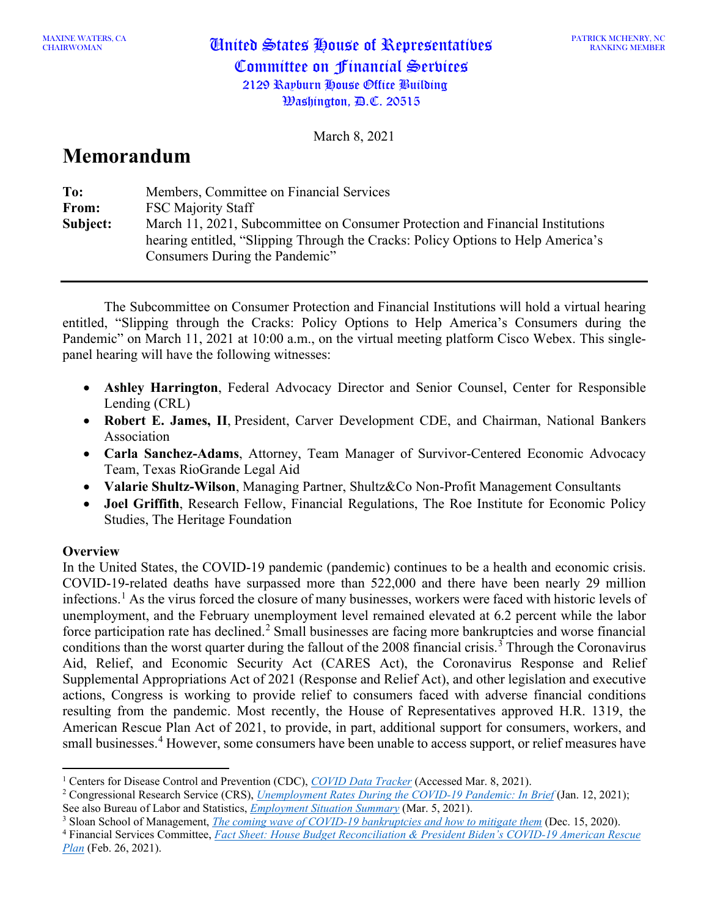March 8, 2021

# **Memorandum**

| To:      | Members, Committee on Financial Services                                                                                                                                                             |
|----------|------------------------------------------------------------------------------------------------------------------------------------------------------------------------------------------------------|
| From:    | <b>FSC Majority Staff</b>                                                                                                                                                                            |
| Subject: | March 11, 2021, Subcommittee on Consumer Protection and Financial Institutions<br>hearing entitled, "Slipping Through the Cracks: Policy Options to Help America's<br>Consumers During the Pandemic" |

The Subcommittee on Consumer Protection and Financial Institutions will hold a virtual hearing entitled, "Slipping through the Cracks: Policy Options to Help America's Consumers during the Pandemic" on March 11, 2021 at 10:00 a.m., on the virtual meeting platform Cisco Webex. This singlepanel hearing will have the following witnesses:

- **Ashley Harrington**, Federal Advocacy Director and Senior Counsel, Center for Responsible Lending (CRL)
- **Robert E. James, II**, President, Carver Development CDE, and Chairman, National Bankers Association
- **Carla Sanchez-Adams**, Attorney, Team Manager of Survivor-Centered Economic Advocacy Team, Texas RioGrande Legal Aid
- **Valarie Shultz-Wilson**, Managing Partner, Shultz&Co Non-Profit Management Consultants
- **Joel Griffith**, Research Fellow, Financial Regulations, The Roe Institute for Economic Policy Studies, The Heritage Foundation

## **Overview**

In the United States, the COVID-19 pandemic (pandemic) continues to be a health and economic crisis. COVID-19-related deaths have surpassed more than 522,000 and there have been nearly 29 million infections. [1](#page-0-0) As the virus forced the closure of many businesses, workers were faced with historic levels of unemployment, and the February unemployment level remained elevated at 6.2 percent while the labor force participation rate has declined.<sup>[2](#page-0-1)</sup> Small businesses are facing more bankruptcies and worse financial conditions than the worst quarter during the fallout of the 2008 financial crisis.<sup>[3](#page-0-2)</sup> Through the Coronavirus Aid, Relief, and Economic Security Act (CARES Act), the Coronavirus Response and Relief Supplemental Appropriations Act of 2021 (Response and Relief Act), and other legislation and executive actions, Congress is working to provide relief to consumers faced with adverse financial conditions resulting from the pandemic. Most recently, the House of Representatives approved H.R. 1319, the American Rescue Plan Act of 2021, to provide, in part, additional support for consumers, workers, and small businesses. [4](#page-0-3) However, some consumers have been unable to access support, or relief measures have

<span id="page-0-2"></span><sup>3</sup> Sloan School of Management, *[The coming wave of COVID-19 bankruptcies and how to mitigate them](https://mitsloan.mit.edu/ideas-made-to-matter/coming-wave-covid-19-bankruptcies-and-how-to-mitigate-them)* (Dec. 15, 2020).

<span id="page-0-0"></span><sup>1</sup> Centers for Disease Control and Prevention (CDC), *[COVID Data Tracker](https://covid.cdc.gov/covid-data-tracker/#datatracker-home)* (Accessed Mar. 8, 2021).

<span id="page-0-1"></span><sup>2</sup> Congressional Research Service (CRS), *[Unemployment Rates During the COVID-19](https://fas.org/sgp/crs/misc/R46554.pdf) Pandemic: In Brief* (Jan. 12, 2021); See also Bureau of Labor and Statistics, *[Employment Situation Summary](https://www.bls.gov/news.release/empsit.nr0.htm)* (Mar. 5, 2021).

<span id="page-0-3"></span><sup>4</sup> Financial Services Committee, *[Fact Sheet: House Budget Reconciliation & President Biden's COVID-19 American Rescue](https://financialservices.house.gov/uploadedfiles/fact_sheet_hbrandb_covid-19_arp.pdf)  [Plan](https://financialservices.house.gov/uploadedfiles/fact_sheet_hbrandb_covid-19_arp.pdf)* (Feb. 26, 2021).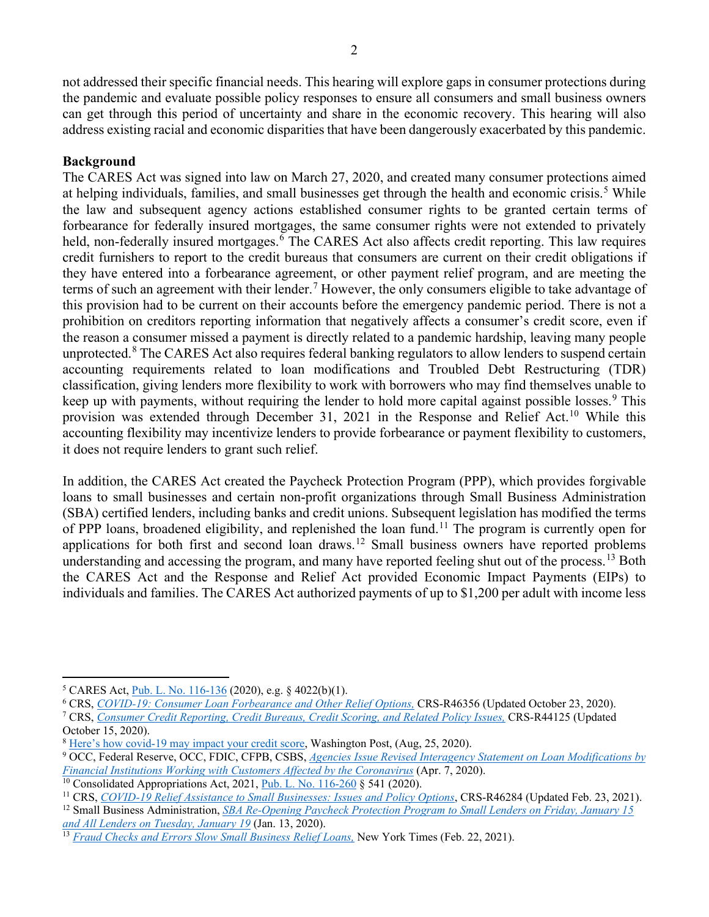not addressed their specific financial needs. This hearing will explore gaps in consumer protections during the pandemic and evaluate possible policy responses to ensure all consumers and small business owners can get through this period of uncertainty and share in the economic recovery. This hearing will also address existing racial and economic disparities that have been dangerously exacerbated by this pandemic.

### **Background**

The CARES Act was signed into law on March 27, 2020, and created many consumer protections aimed at helping individuals, families, and small businesses get through the health and economic crisis.<sup>[5](#page-1-0)</sup> While the law and subsequent agency actions established consumer rights to be granted certain terms of forbearance for federally insured mortgages, the same consumer rights were not extended to privately held, non-federally insured mortgages.<sup>[6](#page-1-1)</sup> The CARES Act also affects credit reporting. This law requires credit furnishers to report to the credit bureaus that consumers are current on their credit obligations if they have entered into a forbearance agreement, or other payment relief program, and are meeting the terms of such an agreement with their lender.<sup>[7](#page-1-2)</sup> However, the only consumers eligible to take advantage of this provision had to be current on their accounts before the emergency pandemic period. There is not a prohibition on creditors reporting information that negatively affects a consumer's credit score, even if the reason a consumer missed a payment is directly related to a pandemic hardship, leaving many people unprotected.<sup>[8](#page-1-3)</sup> The CARES Act also requires federal banking regulators to allow lenders to suspend certain accounting requirements related to loan modifications and Troubled Debt Restructuring (TDR) classification, giving lenders more flexibility to work with borrowers who may find themselves unable to keep up with payments, without requiring the lender to hold more capital against possible losses.<sup>[9](#page-1-4)</sup> This provision was extended through December 31, 2021 in the Response and Relief Act.<sup>[10](#page-1-5)</sup> While this accounting flexibility may incentivize lenders to provide forbearance or payment flexibility to customers, it does not require lenders to grant such relief.

In addition, the CARES Act created the Paycheck Protection Program (PPP), which provides forgivable loans to small businesses and certain non-profit organizations through Small Business Administration (SBA) certified lenders, including banks and credit unions. Subsequent legislation has modified the terms of PPP loans, broadened eligibility, and replenished the loan fund.<sup>[11](#page-1-6)</sup> The program is currently open for applications for both first and second loan draws.<sup>[12](#page-1-7)</sup> Small business owners have reported problems understanding and accessing the program, and many have reported feeling shut out of the process.<sup>[13](#page-1-8)</sup> Both the CARES Act and the Response and Relief Act provided Economic Impact Payments (EIPs) to individuals and families. The CARES Act authorized payments of up to \$1,200 per adult with income less

<span id="page-1-0"></span><sup>5</sup> CARES Act, [Pub. L. No. 116-136](https://www.congress.gov/116/plaws/publ136/PLAW-116publ136.pdf) (2020), e.g. § 4022(b)(1).

<span id="page-1-1"></span><sup>6</sup> CRS, *[COVID-19: Consumer Loan Forbearance and Other Relief Options,](https://www.crs.gov/reports/pdf/R46356)* CRS-R46356 (Updated October 23, 2020).

<span id="page-1-2"></span><sup>7</sup> CRS, *[Consumer Credit Reporting, Credit Bureaus, Credit Scoring, and Related Policy Issues,](https://www.crs.gov/reports/pdf/R44125)* CRS-R44125 (Updated October 15, 2020).

<span id="page-1-3"></span><sup>&</sup>lt;sup>8</sup> [Here's how covid-19 may impact your credit score,](https://www.washingtonpost.com/business/2020/08/25/coronavirus-impact-credit-score/) Washington Post, (Aug, 25, 2020).

<span id="page-1-4"></span><sup>9</sup> OCC, Federal Reserve, OCC, FDIC, CFPB, CSBS, *[Agencies Issue Revised Interagency Statement on Loan Modifications by](https://www.occ.gov/news-issuances/news-releases/2020/nr-ia-2020-50.html)  [Financial Institutions Working with Customers Affected by the Coronavirus](https://www.occ.gov/news-issuances/news-releases/2020/nr-ia-2020-50.html)* (Apr. 7, 2020).

<span id="page-1-6"></span><span id="page-1-5"></span><sup>&</sup>lt;sup>10</sup> Consolidated Appropriations Act, 2021, *Pub. L. No.* 116-260 § 541 (2020).<br><sup>11</sup> CRS, *COVID-19 Relief Assistance to Small Businesses: Issues and Policy Options*, CRS-R46284 (Updated Feb. 23, 2021).

<span id="page-1-7"></span><sup>&</sup>lt;sup>12</sup> Small Business Administration[,](https://www.crs.gov/reports/pdf/R46284) SBA Re-Opening Paycheck Protection Program to Small Lenders on Friday, January 15<sup>-</sup> *[and All Lenders on Tuesday, January 19](https://www.sba.gov/article/2021/jan/13/sba-re-opening-paycheck-protection-program-small-lenders-friday-january-15-all-lenders-tuesday)* (Jan. 13, 2020).

<span id="page-1-8"></span><sup>&</sup>lt;sup>13</sup> *[Fraud Checks and Errors Slow Small Business Relief Loans,](https://www.nytimes.com/2021/02/22/business/paycheck-protection-program-small-business-coronavirus.html) New York Times (Feb. 22, 2021).*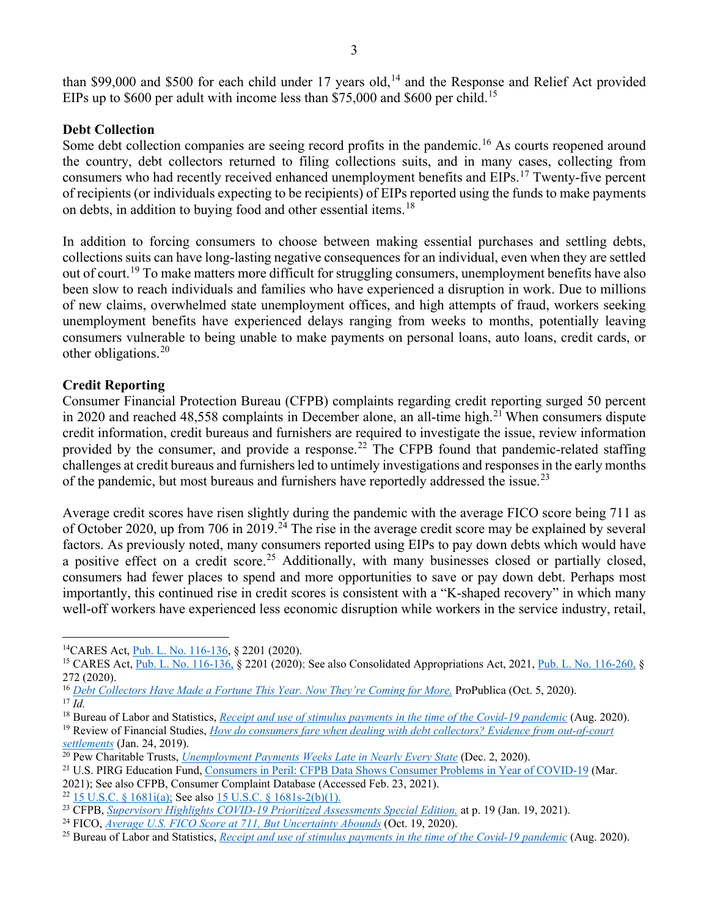than \$99,000 and \$500 for each child under 17 years old,<sup>[14](#page-2-0)</sup> and the Response and Relief Act provided EIPs up to \$600 per adult with income less than \$75,000 and \$600 per child.<sup>[15](#page-2-1)</sup>

#### **Debt Collection**

Some debt collection companies are seeing record profits in the pandemic.<sup>[16](#page-2-2)</sup> As courts reopened around the country, debt collectors returned to filing collections suits, and in many cases, collecting from consumers who had recently received enhanced unemployment benefits and EIPs.<sup>[17](#page-2-3)</sup> Twenty-five percent of recipients (or individuals expecting to be recipients) of EIPs reported using the funds to make payments on debts, in addition to buying food and other essential items.<sup>[18](#page-2-4)</sup>

In addition to forcing consumers to choose between making essential purchases and settling debts, collections suits can have long-lasting negative consequences for an individual, even when they are settled out of court.<sup>[19](#page-2-5)</sup> To make matters more difficult for struggling consumers, unemployment benefits have also been slow to reach individuals and families who have experienced a disruption in work. Due to millions of new claims, overwhelmed state unemployment offices, and high attempts of fraud, workers seeking unemployment benefits have experienced delays ranging from weeks to months, potentially leaving consumers vulnerable to being unable to make payments on personal loans, auto loans, credit cards, or other obligations.[20](#page-2-6)

## **Credit Reporting**

Consumer Financial Protection Bureau (CFPB) complaints regarding credit reporting surged 50 percent in 2020 and reached  $48,558$  complaints in December alone, an all-time high.<sup>[21](#page-2-7)</sup> When consumers dispute credit information, credit bureaus and furnishers are required to investigate the issue, review information provided by the consumer, and provide a response.<sup>[22](#page-2-8)</sup> The CFPB found that pandemic-related staffing challenges at credit bureaus and furnishers led to untimely investigations and responses in the early months of the pandemic, but most bureaus and furnishers have reportedly addressed the issue.<sup>[23](#page-2-9)</sup>

Average credit scores have risen slightly during the pandemic with the average FICO score being 711 as of October 2020, up from 706 in 2019.<sup>[24](#page-2-10)</sup> The rise in the average credit score may be explained by several factors. As previously noted, many consumers reported using EIPs to pay down debts which would have a positive effect on a credit score.<sup>[25](#page-2-11)</sup> Additionally, with many businesses closed or partially closed, consumers had fewer places to spend and more opportunities to save or pay down debt. Perhaps most importantly, this continued rise in credit scores is consistent with a "K-shaped recovery" in which many well-off workers have experienced less economic disruption while workers in the service industry, retail,

<span id="page-2-0"></span><sup>14</sup>CARES Act[, Pub. L. No. 116-136,](https://www.congress.gov/116/plaws/publ136/PLAW-116publ136.pdf) § 2201 (2020).

<span id="page-2-1"></span><sup>&</sup>lt;sup>15</sup> CARES Act,  $\overline{Pub}$ , L. No. 116-136, § 2201 (2020); See also Consolidated Appropriations Act, 2021[, Pub. L. No. 116-260,](https://www.congress.gov/116/bills/hr133/BILLS-116hr133enr.pdf) § 272 (2020).

<span id="page-2-2"></span><sup>16</sup> *[Debt Collectors Have Made a Fortune This Year. Now They're Coming for More,](https://www.propublica.org/article/debt-collectors-have-made-a-fortune-this-year-now-theyre-coming-for-more)* ProPublica (Oct. 5, 2020). <sup>17</sup> *Id.*

<span id="page-2-4"></span><span id="page-2-3"></span><sup>&</sup>lt;sup>18</sup> Bureau of Labor and Statistics, *[Receipt and use of stimulus payments in the time of the Covid-19 pandemic](https://www.bls.gov/opub/btn/volume-9/receipt-and-use-of-stimulus-payments-in-the-time-of-the-covid-19-pandemic.htm)* (Aug. 2020).

<span id="page-2-5"></span><sup>19</sup> Review of Financial Studies, *[How do consumers fare when dealing with debt collectors? Evidence from out-of-court](https://papers.ssrn.com/sol3/papers.cfm?abstract_id=3312448)* 

<span id="page-2-6"></span>*settlements* [\(](https://papers.ssrn.com/sol3/papers.cfm?abstract_id=3312448)Jan. 24, 2019). 20 Pew Charitable Trusts, *[Unemployment Payments Weeks Late in Nearly Every State](https://www.pewtrusts.org/en/research-and-analysis/blogs/stateline/2020/12/02/unemployment-payments-weeks-late-in-nearly-every-state)* (Dec. 2, 2020).

<span id="page-2-7"></span><sup>21</sup> U.S. PIRG Education Fund, [Consumers in Peril: CFPB Data Shows Consumer Problems in Year of COVID-19](https://uspirgedfund.org/sites/pirg/files/reports/USP_CFPB_Report_%20Consumers%20in%20Peril.pdf) (Mar. 2021); See also CFPB, Consumer Complaint Database (Accessed Feb. 23, 2021).

<span id="page-2-9"></span><span id="page-2-8"></span><sup>&</sup>lt;sup>22</sup> [15 U.S.C. § 1681i\(a\);](https://www.law.cornell.edu/uscode/text/15/1681i) See also [15 U.S.C. § 1681s-2\(b\)\(1\).](https://www.law.cornell.edu/uscode/text/15/1681s-2)<br><sup>23</sup> CFPB, Supervisory Highlights COVID-19 Prioritized Assessments Special Edition, at p. 19 (Jan. 19, 2021).

<span id="page-2-11"></span><span id="page-2-10"></span><sup>&</sup>lt;sup>24</sup> FICO, <u>Aver[a](https://www.consumerfinance.gov/data-research/research-reports/supervisory-highlights-covid-19-prioritized-assessments-special-edition-issue-23/)ge U.S. FICO Score at 711, But Uncertainty Abounds</u> [\(](https://www.fico.com/blogs/average-us-fico-score-711-uncertainty-abounds)Oct. 19, 2020).<br><sup>25</sup> Bureau of Labor and Statistics, *[Receipt and use of stimulus payments in the time of the Covid-19 pandemic](https://www.bls.gov/opub/btn/volume-9/receipt-and-use-of-stimulus-payments-in-the-time-of-the-covid-19-pandemic.htm)* (Aug. 2020).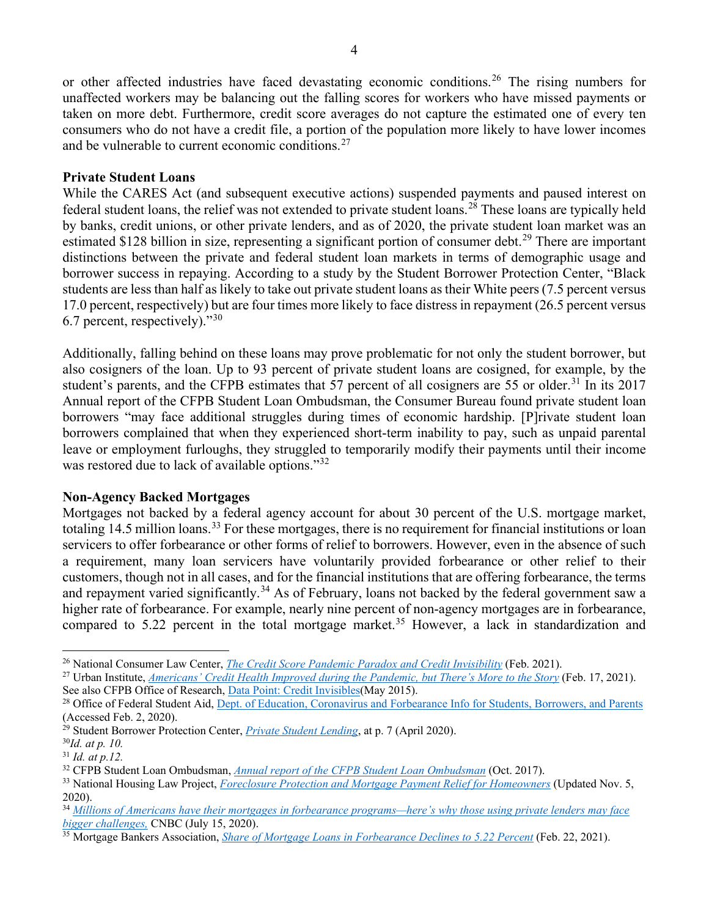or other affected industries have faced devastating economic conditions.<sup>[26](#page-3-0)</sup> The rising numbers for unaffected workers may be balancing out the falling scores for workers who have missed payments or taken on more debt. Furthermore, credit score averages do not capture the estimated one of every ten consumers who do not have a credit file, a portion of the population more likely to have lower incomes and be vulnerable to current economic conditions. $27$ 

#### **Private Student Loans**

While the CARES Act (and subsequent executive actions) suspended payments and paused interest on federal student loans, the relief was not extended to private student loans.[28](#page-3-2) These loans are typically held by banks, credit unions, or other private lenders, and as of 2020, the private student loan market was an estimated \$128 billion in size, representing a significant portion of consumer debt.<sup>[29](#page-3-3)</sup> There are important distinctions between the private and federal student loan markets in terms of demographic usage and borrower success in repaying. According to a study by the Student Borrower Protection Center, "Black students are less than half as likely to take out private student loans as their White peers (7.5 percent versus 17.0 percent, respectively) but are four times more likely to face distress in repayment (26.5 percent versus 6.7 percent, respectively)."[30](#page-3-4)

Additionally, falling behind on these loans may prove problematic for not only the student borrower, but also cosigners of the loan. Up to 93 percent of private student loans are cosigned, for example, by the student's parents, and the CFPB estimates that 57 percent of all cosigners are 55 or older.<sup>[31](#page-3-5)</sup> In its 2017 Annual report of the CFPB Student Loan Ombudsman, the Consumer Bureau found private student loan borrowers "may face additional struggles during times of economic hardship. [P]rivate student loan borrowers complained that when they experienced short-term inability to pay, such as unpaid parental leave or employment furloughs, they struggled to temporarily modify their payments until their income was restored due to lack of available options."<sup>[32](#page-3-6)</sup>

#### **Non-Agency Backed Mortgages**

Mortgages not backed by a federal agency account for about 30 percent of the U.S. mortgage market, totaling 14.5 million loans.<sup>[33](#page-3-7)</sup> For these mortgages, there is no requirement for financial institutions or loan servicers to offer forbearance or other forms of relief to borrowers. However, even in the absence of such a requirement, many loan servicers have voluntarily provided forbearance or other relief to their customers, though not in all cases, and for the financial institutions that are offering forbearance, the terms and repayment varied significantly.<sup>[34](#page-3-8)</sup> As of February, loans not backed by the federal government saw a higher rate of forbearance. For example, nearly nine percent of non-agency mortgages are in forbearance, compared to 5.22 percent in the total mortgage market.<sup>[35](#page-3-9)</sup> However, a lack in standardization and

<span id="page-3-0"></span><sup>26</sup> National Consumer Law Center, *[The Credit Score Pandemic Paradox and Credit Invisibility](https://www.nclc.org/images/pdf/special_projects/covid-19/IB_Pandemic_Paradox_Credit_Invisibility.pdf)* (Feb. 2021).

<span id="page-3-1"></span><sup>27</sup> Urban Institute, *[Americans' Credit Health Improved during the Pandemic, but There's More to the Story](https://www.urban.org/urban-wire/americans-credit-health-improved-during-pandemic-theres-more-story)* (Feb. 17, 2021). See also CFPB Office of Research, [Data Point: Credit Invisibles\(](https://files.consumerfinance.gov/f/201505_cfpb_data-point-credit-invisibles.pdf)May 2015).

<span id="page-3-2"></span><sup>&</sup>lt;sup>28</sup> Office of Federal Student Aid, [Dept. of Education, Coronavirus and Forbearance Info for Students, Borrowers, and Parents](https://studentaid.gov/announcements-events/coronavirus) (Accessed Feb. 2, 2020).

<span id="page-3-3"></span><sup>&</sup>lt;sup>29</sup> Student Borrower Protection Center, *[Private Student Lending](https://protectborrowers.org/wp-content/uploads/2020/04/PSL-Report_042020.pdf)*, at p. 7 (April 2020).

<span id="page-3-4"></span><sup>30</sup>*Id. at p. 10.*

<span id="page-3-5"></span><sup>31</sup> *Id. at p.12.*

<span id="page-3-6"></span><sup>32</sup> CFPB Student Loan Ombudsman, *[Annual report of the CFPB Student Loan Ombudsman](https://files.consumerfinance.gov/f/documents/cfpb_annual-report_student-loan-ombudsman_2017.pdf)* (Oct. 2017).

<span id="page-3-7"></span><sup>&</sup>lt;sup>33</sup> National Housing Law Project, *[Foreclosure Protection and Mortgage Payment Relief for Homeowners](https://www.nhlp.org/wp-content/uploads/2020.04.10-NHLP-Homeowner-Relief-Info-Sheet-Update2.pdf)* (Updated Nov. 5, 2020).

<span id="page-3-8"></span><sup>34</sup> *[Millions of Americans have their mortgages in forbearance programs—here's why those using private lenders may face](https://www.cnbc.com/2020/07/15/privately-held-mortgage-forbearance-may-be-difficult-for-americans-to-navigate.html)  [bigger challenges,](https://www.cnbc.com/2020/07/15/privately-held-mortgage-forbearance-may-be-difficult-for-americans-to-navigate.html)* CNBC (July 15, 2020).

<span id="page-3-9"></span><sup>35</sup> Mortgage Bankers Association, *[Share of Mortgage Loans in Forbearance Declines to 5.22 Percent](https://www.mba.org/2021-press-releases/february/share-of-mortgage-loans-in-forbearance-declines-to-522-percent)* (Feb. 22, 2021).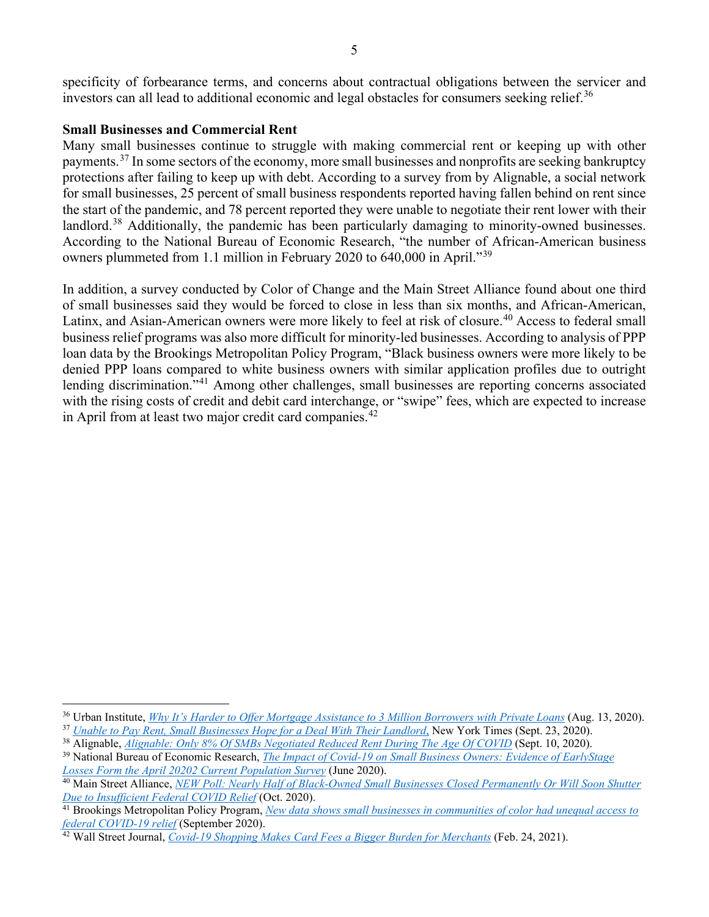investors can all lead to additional economic and legal obstacles for consumers seeking relief.<sup>[36](#page-4-0)</sup>

# **Small Businesses and Commercial Rent**

Many small businesses continue to struggle with making commercial rent or keeping up with other payments.[37](#page-4-1) In some sectors of the economy, more small businesses and nonprofits are seeking bankruptcy protections after failing to keep up with debt. According to a survey from by Alignable, a social network for small businesses, 25 percent of small business respondents reported having fallen behind on rent since the start of the pandemic, and 78 percent reported they were unable to negotiate their rent lower with their landlord.<sup>[38](#page-4-2)</sup> Additionally, the pandemic has been particularly damaging to minority-owned businesses. According to the National Bureau of Economic Research, "the number of African-American business owners plummeted from 1.1 million in February 2020 to 640,000 in April."<sup>[39](#page-4-3)</sup>

In addition, a survey conducted by Color of Change and the Main Street Alliance found about one third of small businesses said they would be forced to close in less than six months, and African-American, Latinx, and Asian-American owners were more likely to feel at risk of closure.<sup>[40](#page-4-4)</sup> Access to federal small business relief programs was also more difficult for minority-led businesses. According to analysis of PPP loan data by the Brookings Metropolitan Policy Program, "Black business owners were more likely to be denied PPP loans compared to white business owners with similar application profiles due to outright lending discrimination."<sup>[41](#page-4-5)</sup> Among other challenges, small businesses are reporting concerns associated with the rising costs of credit and debit card interchange, or "swipe" fees, which are expected to increase in April from at least two major credit card companies.<sup>[42](#page-4-6)</sup>

<span id="page-4-0"></span><sup>36</sup> Urban Institute, *[Why It's Harder to Offer Mortgage Assistance to 3 Million Borrowers with Private Loans](https://www.urban.org/urban-wire/why-its-harder-offer-mortgage-assistance-3-million-borrowers-private-loans)* (Aug. 13, 2020).

<span id="page-4-1"></span><sup>37</sup> *[Unable to Pay Rent, Small Businesses Hope for a Deal With Their Landlord](https://www.nytimes.com/2020/09/17/business/small-business-rent-landlord.html)*, New York Times (Sept. 23, 2020).

<span id="page-4-2"></span><sup>38</sup> Alignable, *[Alignable: Only 8% Of SMBs Negotiated Reduced Rent During The Age Of COVID](https://www.alignable.com/forum/alignable-poll-only-8-of-smbs-negotiated-lower-covid-era-rent)* (Sept. 10, 2020).

<span id="page-4-3"></span><sup>39</sup> National Bureau of Economic Research, *[The Impact of Covid-19 on Small Business Owners: Evidence of EarlyStage](https://www.nber.org/system/files/working_papers/w27309/w27309.pdf)  [Losses Form the April 20202 Current Population Survey](https://www.nber.org/system/files/working_papers/w27309/w27309.pdf)* (June 2020).

<span id="page-4-4"></span><sup>40</sup> Main Street Alliance, *[NEW Poll: Nearly Half of Black-Owned Small Businesses Closed Permanently Or Will Soon Shutter](https://www.mainstreetalliance.org/new_poll_nearly_half_of_black_owned_small_businesses_closed_permanently_or_will_soon_shutter_due_to_insufficient_federal_covid_relief)  [Due to Insufficient Federal COVID Relief](https://www.mainstreetalliance.org/new_poll_nearly_half_of_black_owned_small_businesses_closed_permanently_or_will_soon_shutter_due_to_insufficient_federal_covid_relief)* (Oct. 2020).

<span id="page-4-5"></span><sup>41</sup> Brookings Metropolitan Policy Program, *[New data shows small businesses in communities of color had unequal access to](https://www.brookings.edu/research/new-data-shows-small-businesses-in-communities-of-color-had-unequal-access-to-federal-covid-19-relief/)  [federal COVID-19 relief](https://www.brookings.edu/research/new-data-shows-small-businesses-in-communities-of-color-had-unequal-access-to-federal-covid-19-relief/)* (September 2020).

<span id="page-4-6"></span><sup>42</sup> Wall Street Journal, *[Covid-19 Shopping Makes Card Fees a Bigger Burden for Merchants](https://www.wsj.com/articles/covid-19-shopping-makes-card-fees-a-bigger-burden-for-merchants-11614162602)* (Feb. 24, 2021).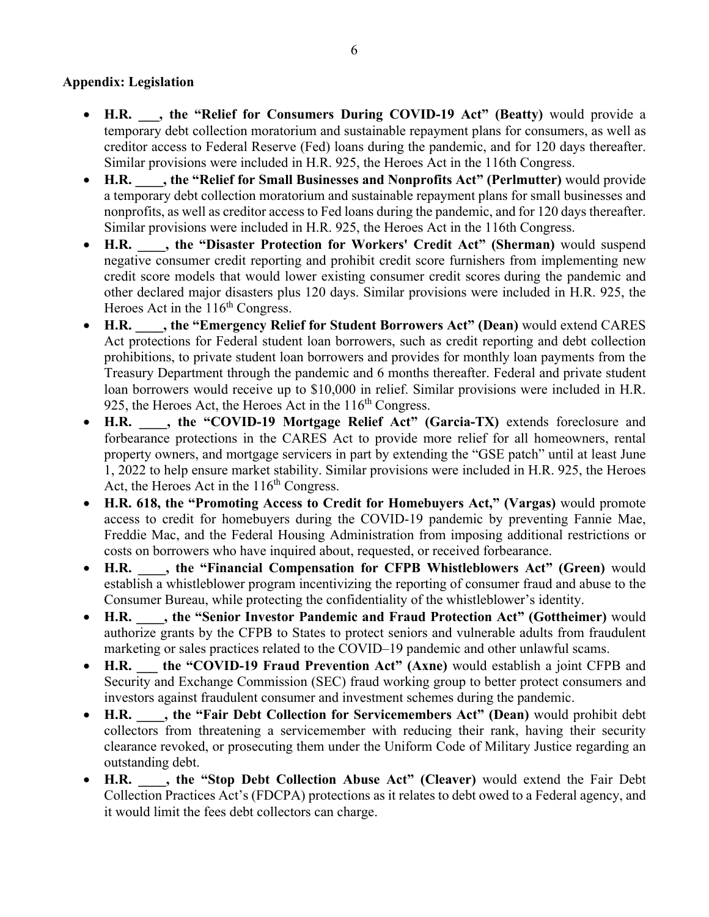# **Appendix: Legislation**

- **H.R. \_\_\_, the "Relief for Consumers During COVID-19 Act" (Beatty)** would provide a temporary debt collection moratorium and sustainable repayment plans for consumers, as well as creditor access to Federal Reserve (Fed) loans during the pandemic, and for 120 days thereafter. Similar provisions were included in H.R. 925, the Heroes Act in the 116th Congress.
- **H.R. \_\_\_\_, the "Relief for Small Businesses and Nonprofits Act" (Perlmutter)** would provide a temporary debt collection moratorium and sustainable repayment plans for small businesses and nonprofits, as well as creditor access to Fed loans during the pandemic, and for 120 days thereafter. Similar provisions were included in H.R. 925, the Heroes Act in the 116th Congress.
- **H.R. \_\_\_\_, the "Disaster Protection for Workers' Credit Act" (Sherman)** would suspend negative consumer credit reporting and prohibit credit score furnishers from implementing new credit score models that would lower existing consumer credit scores during the pandemic and other declared major disasters plus 120 days. Similar provisions were included in H.R. 925, the Heroes Act in the 116<sup>th</sup> Congress.
- **H.R. \_\_\_\_, the "Emergency Relief for Student Borrowers Act" (Dean)** would extend CARES Act protections for Federal student loan borrowers, such as credit reporting and debt collection prohibitions, to private student loan borrowers and provides for monthly loan payments from the Treasury Department through the pandemic and 6 months thereafter. Federal and private student loan borrowers would receive up to \$10,000 in relief. Similar provisions were included in H.R. 925, the Heroes Act, the Heroes Act in the  $116<sup>th</sup>$  Congress.
- **H.R. \_\_\_\_, the "COVID-19 Mortgage Relief Act" (Garcia-TX)** extends foreclosure and forbearance protections in the CARES Act to provide more relief for all homeowners, rental property owners, and mortgage servicers in part by extending the "GSE patch" until at least June 1, 2022 to help ensure market stability. Similar provisions were included in H.R. 925, the Heroes Act, the Heroes Act in the  $116<sup>th</sup>$  Congress.
- **H.R. 618, the "Promoting Access to Credit for Homebuyers Act," (Vargas)** would promote access to credit for homebuyers during the COVID-19 pandemic by preventing Fannie Mae, Freddie Mac, and the Federal Housing Administration from imposing additional restrictions or costs on borrowers who have inquired about, requested, or received forbearance.
- **H.R. \_\_\_\_, the "Financial Compensation for CFPB Whistleblowers Act" (Green)** would establish a whistleblower program incentivizing the reporting of consumer fraud and abuse to the Consumer Bureau, while protecting the confidentiality of the whistleblower's identity.
- **H.R. \_\_\_\_, the "Senior Investor Pandemic and Fraud Protection Act" (Gottheimer)** would authorize grants by the CFPB to States to protect seniors and vulnerable adults from fraudulent marketing or sales practices related to the COVID–19 pandemic and other unlawful scams.
- H.R. the "COVID-19 Fraud Prevention Act" (Axne) would establish a joint CFPB and Security and Exchange Commission (SEC) fraud working group to better protect consumers and investors against fraudulent consumer and investment schemes during the pandemic.
- **H.R. \_\_\_\_, the "Fair Debt Collection for Servicemembers Act" (Dean)** would prohibit debt collectors from threatening a servicemember with reducing their rank, having their security clearance revoked, or prosecuting them under the Uniform Code of Military Justice regarding an outstanding debt.
- **H.R. \_\_\_\_, the "Stop Debt Collection Abuse Act" (Cleaver)** would extend the Fair Debt Collection Practices Act's (FDCPA) protections as it relates to debt owed to a Federal agency, and it would limit the fees debt collectors can charge.